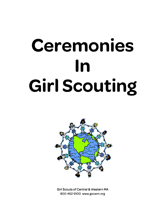# **Ceremonies In Girl Scouting**



**Girl Scouts of Central & Western MA** 800⋅462⋅9100 www.gscwm.org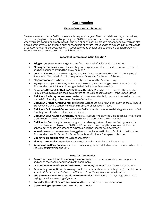# **Ceremonies**

#### **Time to Celebrate Girl Scouting**

Ceremonies mark special Girl Scout events throughout the year. They can celebrate major transitions, such as bridging to another level or getting your Girl Scout pin, commemorate your accomplishment when you earn awards, or simply make the beginning or end of your group's meeting special. You can also plan a ceremony around a theme, such as friendship or nature that you wish to explore in thought, words, or song. Whatever its purpose, every Girl Scout ceremony enables girls to share in a special part of Girl Scout history and create their own special memories.

#### **Important Ceremonies in Girl Scouting**

- Bridging ceremonies mark a girl's move from one level of Girl Scouting to another.
- **Closing ceremonies** finalize the meeting, with expectations for the next. This may be as simple as a hand squeeze around the circle, or a song.
- **Court of Awards** is a time to recognize girls who have accomplished something during the Girl Scout year. May be held 3 to 4 times per year. Don't wait for the end of the year!
- **Flag ceremonies** can be part of any activity that honors the American flag.
- **Fly-Up** is a bridging ceremony for Girl Scout Brownies who are bridging to Girl Scouts Juniors. Girls receive the Girl Scout pin along with their Girl Scouts Brownie wings.
- **Founder's Day or Juliette Low's Birthday, October 31.** is a time to remember the important role Juliette Low played in the development of the Girl Scout Movement in the United States.
- **Girl Scout Birthday ceremonies** can be held on or near March 12, the date Juliette Gordon Low started Girl Scouting in the United States of America.
- **Girl Scout Bronze Award Ceremony** honors Girl Scouts Juniors who have earned the Girl Scout Bronze Award and is usually held at the troop level or service unit level.
- **Girl Scout Gold Award Ceremony** honors Girl Scouts who have earned the highest award in Girl Scouting and often takes place at council level.
- **Girl Scout Silver Award Ceremony** honors Girl Scouts who earn the Girl Scout Silver Award and is often combined with the Girl Scout Gold Award Ceremony at the council level.
- **Girl Scouts' Own** is a girl-planned program that allows girls to explore their feelings around a topic, such as friendship or The Girl Scout Promise and Law using the spoken word, favorite songs, poetry, or other methods of expression. It is never a religious ceremony.
- **Investiture** welcomes new members, girls or adults, into the Girl Scout family for the first time. Girls receive their Girl Scout, Girl Scout Brownie, or Girl Scout Daisy pin at this time.
- **Opening ceremonies** start the Girl Scout meeting.
- **Pinning Ceremonies** help celebrate when girls receive grade-level Girl Scout pins.
- **Rededication Ceremonies** are an opportunity for girls and adults to renew their commitment to the Girl Scout Promise and Law.

#### **Hints for Ceremonies**

- **Devote sufficient time to planning the ceremony.** Good ceremonies have a clear purpose and enrich the meaning and mood of the ceremony.
- **Use** *Ceremonies in Girl Scouting* **and the Ceremony Planner** to help plan your ceremony.
- Take safety precautions when using candles or fires, or when constructing bridges or platforms. Refer to *Volunteer Essentials* and the *Safety Activity Checkpoints* for specific advice.
- **Add personal elements to traditional ceremonies**. Use favorite poems, songs, stories and . sayings, or write something of your own.
- **Consider the role of colors and symbols** that you might use in your ceremony.
- **Observe flag etiquette** when doing flag ceremonies.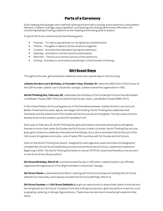# **Parts of a Ceremony**

Each meeting should begin with a definite opening and end with a closing, and a ceremony is the perfect element. Children of all ages enjoy repetition, and opening and closing ceremonies offer them the comforting feeling of having traditions at the meeting and knowing what to expect.

A typical Girl Scout ceremony has the following parts:

- Purpose To mark a special event or recognize accomplishments
- Theme Thoughts or ideas to tie the ceremony together
- Content Activities that take place during the ceremony
- Opening Activities to set the mood for participants
- Main Part The focus or primary activity of the ceremony
- Closing Activities to summarize everything in a final moment of sharing

# **Girl Scout Days**

Throughout the year, girls and adults celebrate some very special days in Girl Scouting.

**Juliette Gordon Low's Birthday, or Founder's Day, October 31**, marks the 1860 birth of Girl Scouts of the USA founder Juliette Low in Savannah, Georgia. Juliette started the organization in 1912.

World Thinking Day, February 22, celebrates the birthdays of Girl Guides/Girl Scouts founder Robert, Lord Baden-Powell (1857-1941) and World Chief Guide, Olave, Lady Baden-Powell (1889-1977).

In the United States, Girl Scouting grew out of the friendship between Juliette Gordon Low and Lord Baden-Powell and his sister, Agnes, who began Girl Guiding. World Thinking Day celebrates that friendship and the sisterhood of Girl Guides and Girl Scouts around the globe. The day is also a time to donate funds to the Juliette Low World Friendship Fund.

Each year on February 22, World Thinking Day, girls participate in activities and projects with global themes to honor their sister Girl Guides and Girl Scouts in other countries. World Thinking Day not only gives girls a chance to celebrate international friendships, but is also a reminder that Girl Scouts of the USA is part of a global community—one of nearly 150 countries with Girl Guides and Girl Scouts.

Note on the World Thinking Day Award: Designed for each age level, award activities are designed to complement the Girl Scout leadership journeys and reinforce the Girl Scout Leadership Experience. Beginning in 2012, The World Thinking Day Award is now an OFFICIAL award and therefore may be worn on the front of the official uniform.

**Girl Scout Birthday, March 12**, commemorates the day in 1912 when Juliette Gordon Low officially registered the organization's first 18 girl members in Savannah, Georgia.

**Girl Scout Week** is celebrated each March, starting with Girl Scout Sunday and ending with Girl Scout Sabbath on a Saturday, and it always includes the Girl Scout Birthday, March 12.

**Girl Scout Sunday** and **Girl Scout Sabbath** give girls an opportunity to attend their place of worship and be recognized as a Girl Scout. If a place of worship is the group sponsor, girls may perform a service, such as greeting, ushering, or doing a flag ceremony. These days can also be a time when girls explore other faiths.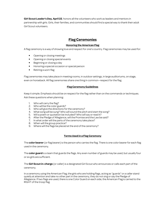Girl Scout Leader's Day, April 22, honors all the volunteers who work as leaders and mentors in partnership with girls. Girls, their families, and communities should find a special way to thank their adult Girl Scout volunteers.

# **Flag Ceremonies**

## **Honoring the American Flag**

A flag ceremony is a way of showing love and respect for one's country. Flag ceremonies may be used for:

- Opening or closing meetings
- Opening or closing special events
- Beginning or closing a day
- Honoring a special occasion or special person
- Retiring a worn flag

Flag ceremonies may take place in meeting rooms, in outdoor settings, in large auditoriums, on stage, even on horseback. All flag ceremonies share one thing in common—respect for the flag.

#### **Flag Ceremony Guidelines**

Keep it simple. Emphasis should be on respect for the flag rather than on the commands or techniques. Ask these questions when planning:

- 1. Who will carry the flag?
- 2. Who will be the color guards?
- 3. Who will give the directions for the ceremony?
- 4. What song will be sung? Who will sound the pitch and start the song?
- 5. Will a poem or quotation be included? Who will say or read it?
- 6. After the Pledge of Allegiance, will the Promise and the Law be said?
- 7. In what order will the parts of the ceremony take place?
- 8. When will the group practice?
- 9. Where will the flags be placed at the end of the ceremony?

## **Terms Used in a Flag Ceremony**

The **color bearer**(or flag bearer) is the person who carries the flag. There is one color bearer for each flag used in the ceremony.

The **color guard** is a team that guards the flags. Any even number of guards may be used, but usually four or six girls are sufficient.

The **Girl Scout in-charge** (or caller) is a designated Girl Scout who announces or calls each part of the ceremony.

In a ceremony using the American Flag, the girls who are holding flags, acting as "guards" or a caller stand quietly at attention and take no other part in the ceremony, they do not sing or say the Pledge of Allegiance. If two flags are used, there is one Color Guard on each side; the American Flag is carried to the RIGHT of the troop flag.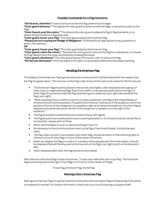#### Possible Commands for a Flag Ceremony

"Girl Scouts, attention." Used to announce that the flag ceremony is to begin.

**"Color guard advance."** This signals the color guard to advance with the flags, or advance to pick up the flags.

**"Color Guard, post the colors."** This directs the color guard to place the flag in flag standards, or to attach the grommets to a flag pole rope.

**"Color guard, honor your flag."** The color guard salutes the American flag.

**"Please join us in saying the Pledge of Allegiance."** (Followed by an appropriate song, quotation or poem, if so desired.)

**OR** 

**"Color guard, honor your flag."** The color guard salutes the American flag.

**"Color guard, retire the colors."**This asks the color guard to remove the flag from standards, or to lower the flag, detach from the rope, and fold prior to being dismissed.

**"Color guard, dismissed."** The color guard leaves in formation, with or without the flag.

**"Girl Scouts dismissed."** Girls may leave in formation or be at ease where they have been standing.

#### **Handling the American Flag**

The display of the American Flag is governed by law to ensure that it will be treated with the respect due the flag of a great nation. This is known as the Flag Code. Some of the rules most useful for Girl Scouts are:

- The American Flag should be placed in the center, and higher, when displayed with a group of state, local, or organizational flags flown from staffs. It may also be positioned to the right of other flags (if you were to hold the flag while facing your audience, your right side would be the flag's own right).
- "When displayed from a staff in a church or public auditorium, the flag of the United States of America should hold the position of superior prominence, in advance of the audience, and in the position of honor at the clergyman's or speaker's right as he faces the audience. Any other flag so displayed should be placed on the left of the clergyman or speaker or to the right of the audience." \*
- The flag should be hoisted briskly and lowered slowly with dignity.
- The flag should never be allowed to touch anything beneath it, nor should it ever be carried flat or horizontally—always aloft and free.
- Never use the flag as a cover or place anything on top of it.
- No disrespect of any kind should be shown to the flag of the United States. It should be kept clean.
- The flag, when carried in a procession with other flags, should be either on the marching right or, if there is a line of other flags, in front of the center of that line.
- When you display the flag on a wall or in a window where people see it from the street, it should be displayed flat with the blue part at the top and on the flag's own right (which is the observer's left).
- When displayed after dark, the flag should be illuminated.

Many Service Units have flags troops can borrow. Troops can make their own troop flag. The American flag would always be on the right of two flags or in front or in the center of 3 flags:

Troop Flag, American Flag, World Flag

#### Retiring a Worn American Flag

Retiring an American Flag is a special ceremony that ends with burning the flag and disposing of the ashes in a respectful manner. For further information, check with your council training or program staff.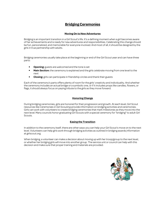# **Bridging Ceremonies**

#### **Moving On to New Adventures**

Bridging is an important transition in a Girl Scout's life. It's a defining moment when a girl becomes aware of her achievements and is ready for new adventures and responsibilities. Celebrating this change should be fun, personalized, and memorable for everyone involved. And most of all, it should be designed by the girls in true partnership with adults.

Bridging ceremonies usually take place at the beginning or end of the Girl Scout year and can have three parts:

- **Opening:** guests are welcomed and the tone is set
- **Main Section:** the ceremony is explained and the girls celebrate moving from one level to the next
- **Closing:** girls can participate in friendship circles and thank their guests

Each of the ceremony's parts offers plenty of room for the girls' creativity and individuality. And whether the ceremony includes an actual bridge or a symbolic one, or if it includes props like candles, flowers, or flags, it should always focus on paying tribute to the girls as they move forward.

#### **Honoring Change**

During bridging ceremonies, girls are honored for their progression and growth. At each level, Girl Scout resources like *Ceremonies in Girl Scouting* provide information on bridging activities and ceremonies. Girls can work with volunteers to create bridging ceremonies that mark milestones as they move into the next level. Many councils honor graduating Girl Scouts with a special ceremony for "bridging" to adult Girl Scouts.

#### **Easing the Transition**

In addition to the ceremony itself, there are other ways you can help your Girl Scout's move on to the next level. Volunteers can help girls work through bridging activities as outlined in bridging awards information at girlscout.org.

When bridging, a volunteer can make a decision about moving up with her troop/group to the next level, or whether her bridging girls will move into another group. The service unit or council can help with this decision and make sure that proper training and materials are provided.

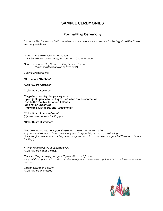# **SAMPLE CEREMONIES**

## **Formal Flag Ceremony**

Through a Flag Ceremony, Girl Scouts demonstrate reverence and respect for the flag of the USA. There are many variations.

*Group stands in a horseshoe formation. Color Guard includes 1 or 2 Flag Bearers and a Guard for each.* 

*Guard, American Flag Bearer, Flag Bearer, Guard (American flag is always on "it's" right)* 

*Caller gives directions:* 

"Girl Scouts Attention"

"Color Guard Attention"

"Color Guard Advance"

"Flag of our country pledge allegiance" I pledge allegiance to the flag of the United States of America and to the republic for which it stands, One nation under God, Indivisible, with liberty and justice for all"

"Color Guard Post the Colors" (*if you have a stand for the flags) or* 

#### "Color Guard Dismissed"

*[The Color Guard is to not repeat the pledge - they are to 'guard' the flag. Any person who is not a citizen of USA may stand respectfully and not salute the flag. Once the girls have learned the flag ceremony you can add a part so the color guard will be able to "honor the flag"]* 

*After the flag is posted direction is given:*  "Color Guard honor the flag"

*The line of flag bearer(s) and guard(s) stand in a straight line. They put their right hand over their heart and together - rock back on right foot and rock forward -back to position* 

*Then the direction is given"*  "Color Guard Dismissed"

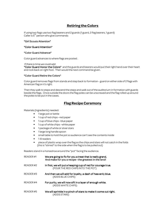# **Retiring the Colors**

If using two flags use two flag bearers and 2 guards (1 guard, 2 flag bearers, 1 guard) Caller is 5<sup>th</sup> person who give commands:

#### "Girl Scouts Attention"

#### "Color Guard Attention"

#### "Color Guard Advance"

Color guard advances to where flags are posted .

If there is time we could add

"Color Guard Honor the Colors" and the guards and bearers would put their right hand over their heart and rock back on right foot. Then would the next command be given.

#### "Color Guard Retire the Colors"

Color guard removes flags from stands and step back to formation - guard on either side of 2 flags with American flag on it's right.

Then they walk to steps and descend the steps and walk out of the auditorium in formation with guards beside the flags. Once outside the doors the flag poles can be unscrewed and the flag rolled up around the poles to be put in the cases.

## **Flag Recipe Ceremony**

Materials (Ingredients) needed:

- 1 large pot or kettle
- 1 cup of red chips –red paper
- 1 cup of blue chips blue paper
- 1 cup of white chips –white paper
- 1 package of white or silver stars
- 1 large long handle spoon
- small table to hold the pot so audience can't see the contents inside
- 1-8 readers
- piece of plastic wrap over the flag so the chips and stars will not catch in the folds (this is "stirred" to the side when the flag is to be pulled out)

Readers stand in a horseshoe around the "pot" facing the audience.

| READER#1 | We are going to fix for you a treat that is really grand,<br>And make for you a recipe-the greatest in the land! |
|----------|------------------------------------------------------------------------------------------------------------------|
| READER#2 | In first, we will put a heaping cup of red for courage true.<br>(POUR THE RED CHIPS INTO THE POT)                |
| READER#3 | And then we will add for loyalty, a dash of heavenly blue.<br>(ADDS BLUE CHIPS)                                  |
| READER#4 | For purity, we will now sift in a layer of enough white.<br>(ADDS WHITE CHIPS)                                   |
| READER#5 | We will sprinkle in a pinch of stars to make it come out right.<br>(ADDS STARS)                                  |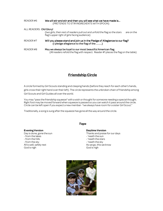| READER#6                | We will stir and stir and then you will see what we have made is<br>(PRETENDS TO STIR INGREDIENTS WITH SPOON)                                     |  |
|-------------------------|---------------------------------------------------------------------------------------------------------------------------------------------------|--|
| ALL READERS: Old Glory! |                                                                                                                                                   |  |
|                         | (two girls, then rest of readers pull out and unfold the flag so the stars<br>are on the<br>flag's upper right of girls facing audience)          |  |
| READER#7                | Will you please stand and join us in the Pledge of Allegiance to our flag?<br>(I pledge allegiance to the flag of the )                           |  |
| READER#8                | May we always be loyal to our most beautiful American flag.<br>(All readers refold the flag with respect. Reader #1 places the flag on the table) |  |

# **Friendship Circle**

A circle formed by Girl Scouts standing and clasping hands (before they reach for each other's hands, girls cross their right hand over their left). The circle represents the unbroken chain of friendship among Girl Scouts and Girl Guides all over the world.

You may "pass the friendship squeeze" with a wish or thought for someone needing a special thought. Right foot may be moved forward when squeeze is passed so you can watch it pass around the circle. Circle can be left open if you expect a new member -"we always have room for a sister Girl Scout."

Traditionally, a song is sung after the squeeze has gone all the way around the circle.

#### **Evening Version**

Day is done, gone the sun - from the lakes - from the hills - from the sky All is well, safely rest God is nigh

#### *Taps*

**Daytime Version** 

Thanks and praise for our days - 'neath the sun - 'neath the stars - 'neath the sky As we go, this we know God is nigh

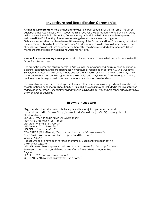# **Investiture and Rededication Ceremonies**

An **investiture ceremony** is held when an individual joins Girl Scouting for the first time. The girl or adult being invested makes the Girl Scout Promise, receives the appropriate membership pin (Daisy Girl Scout Pin, Brownie Girl Scout Pin, Contemporary or Traditional Girl Scout Membership Pin) and is welcomed into Girl Scouting. Sometimes several girls or adults are invested together. Girls are invested after they have learned the meaning of the Promise and Law. Guests may be invited, but a ceremony should not be a "performance." If additional girls join the troop during the year, there should be a simple investiture ceremony for them after they have attended a few meetings. Other members of the troop can help pin and welcome new girls.

A **rededication ceremony** is an opportunity for girls and adults to renew their commitment to the Girl Scout Promise and Law.

The dramatic element in rituals appeals to girls. Younger or inexperienced girls may need guidance in planning, conducting, and participating in an investiture or rededication ceremony. Junior, Cadette, Senior, or Ambassador Girl Scouts should be actively involved in planning their own ceremony. They may want to share personal thoughts about the Promise and Law, include a favorite song or reading, decide on special ways to welcome new members, or add other creative ideas.

The World Association Pin is usually presented at a different ceremony after girls have learned about the international aspect of Girl Scouting/Girl Guiding. However, it may be included in the investiture or rededication ceremony, especially if an individual is joining a troop/group where other girls already have the World Association Pin.

## **Brownie Investiture**

Magic pond - mirror, all sit in a circle. New girls and leaders join together at the pond. The leader reads the Brownie Story (Brownie Leader's Guide pages 79-83.) You may also tell a shortened version. LEADER: *"Who has come to the Brownie Woods?"* NEW GIRLS: *"We have!"* or *"I have!"* LEADER: *"Why have you come?"* NEW GIRLS: *"To be Brownies."* LEADER: *"Who comes first?"* CO-LEADER: (Girl's Name) , *"Twist me and turn me and show me the elf, I looked in the water and saw."* Turn the girl around three times. GIRL: *"MYSELF!"* Repeat until all girls have been "twisted and turned." Leads entire troop in saying the Promise together. LEADER: Pin on Brownie pin upside down and say*: "I am pinning this on upside down. When you have done a good deed, your mother or father will turn it right side up for you."*  LEADER: "Welcome to Brownie Troop #\_ CO-LEADER: *"We're glad to have you, (Girl's Name)*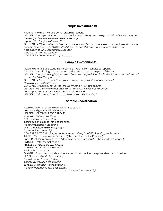## **Sample Investiture #1**

All stand in a circle. New girls come forward to leaders.

LEADER: *"Today you girls have met the requirements of age; have paid your National Registration, and are ready to be invested as members of the largest* 

*organization for girls in the world."* 

CO-LEADER: *"By repeating the Promise and understanding the meaning of it and our ten part Law you become members of the Girl Scouts of the U.S.A., one of the member countries of the World Association of Girl Guides and Girl Scouts."* 

Girls say the Promise together.

CO-LEADER: *"Welcome to Troop #\_\_\_\_\_\_\_!*

## **Sample Investiture #2**

New and returning girls stand in a horseshoe. Table has ten candles set upon it. Ten girls - each lighting one candle and stating one part of the ten parts of the Law. LEADER: *"Today our new girl(s) is/are ready to make her/their Promise for the first time and be invested as member(s) of Troop #\_\_\_\_\_."*  CO-LEADER: *"Are you ready to say your Promise? Can you tell us what it means?" New girl explains the Promise.*  CO-LEADER: *"Can you tell us what the Law means?"* New girls answer. LEADER: *"Will the new girls now make their Promise?"* New girls say Promise. Leader pins trefoil pin on each girl and shakes her hand. LEADER: *"Welcome to Troop #\_\_\_\_\_\_; Welcome to Girl Scouting!"*

## **Sample Rededication**

A table with ten small candles and one large candle. Leaders and girls stand in a horseshoe. LEADER: LIGHTING LARGE CANDLE *A candle's but a simple thing It starts with just a bit of string. Yet dipped and dipped with patient hand, It gathers wax upon the strand Until complete, and gleaming bright, It gives at last a lovely light.*  CO-LEADER*: "This first large candle represents the spirit of Girl Scouting, the Promise."*  1st GIRL: *"Let us now say the Promise."* (She leads them in the Promise.) 2nd GIRL: *"Let us now sing* (have girls pick an appropriate song)." (She leads them in song.) 3rd GlRL: Lights 1st small candle *I WILL DO MY BEST TO BE HONEST*  4th GIRL: Lights 2nd small candle Recites 2nd part of Law. 5-10 GIRL: Continues until all candles are burning and recites the appropriate part of the Law. LEADER: *Life is like that bit of string Each deed we do a simple thing Yet day-by-day, if on Iife's strand We work with patient heart and hand. It gathers joy, makes dark days bright.. And gives at last a lovely light.*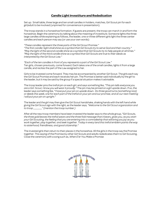## **Candle Light Investiture and Rededication**

Set up: Small table, three large and ten small candles in holders, matches, Girl Scout pin for each girl/adult to be involved (unpinned for convenience in presentation).

The troop stands in a horseshoe formation. If guests are present, the troop can march in and form the horseshoe. Begin the ceremony by talking about the meaning of investiture. Someone lights the three large candles while explaining as follows, the leader, one or three different girls light the three center candles and each person may say (or use your own words):

*"These candles represent the three parts of the Girl Scout Promise." "The first candle I light shall shine as a symbol that Girl Scouts try to serve God and their country." "May the light of the second candle shine as a symbol that Girl Scouts try to help people at all times." "May the light of the third candle shine as a symbol that Girl Scouts are true to their ideals as interpreted by the Girl Scout Law."* 

*"Each of the ten candles in front of you represents a part of the Girl Scout Law."*  Ten girls, chosen previously, come forward. Each takes one of the small candles, lights it from a large candle, and recites the part of the Law assigned to her.

Girls to be invested come forward. They may be accompanied by another Girl Scout. The girls each say the Girl Scout Promise and each receives her pin. The Promise is better said individually by the girl to the leader, but it may be said by the group if a special situation makes it advisable.

The troop leader pins the trefoil pin on each girl, and says something like, *"This pin tells everyone you are a Girl. Scout, I know you will wear it proudly."* The pin may be pinned on a girl upside down. If so, the leader says something like, "I have put your pin on upside down. Do three good turns (something nice) *or deeds this week, one for each part of the trefoil on your pin and our promise, and at our next meeting I will put your pin on upright."* 

The leader and the girl may then give the Girl Scout handshake, shaking hands with the left hand while giving the Girl Scout sign with the right, as the leader says*, "Welcome to the Girl Scout organization and to troop \_\_\_\_\_\_\_" (mention the troop number.)* 

After all the new troop members have been invested the leader says to the whole group, *"Girl Scouts, the three gold leaves the trefoil wears and the three fold message that it bears, gives you, as you start your Girl Scouting, the feeling that you are entering into a comradeship that will bring you joy as you work together, play together, and seek together. Today in every land this trefoil emblem points the way to sisterhood, friendliness, and good citizenship."*

The invested girls then return to their places in the horseshoe. All the girls in the troop say the Promise together. This saying of the Promise by other Girl Scouts and adults rededicates them to Girl Scouting, Close the ceremony with a song such as, *When E'er You Make a Promise.* 

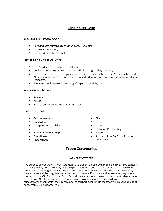# **Girl Scouts' Own**

#### Why have a Girl Scouts' Own?

- To rededicate ourselves to the ideals of Girl Scouting
- To celebrate a holiday
- To quiet down after a campfire

#### How to plan a Girl Scouts' Own:

- The girls decide they want a special service.
- Decide on a theme (nature, in people, in Girl Scouting, stories, poems...)
- There is participation by everyone present; there is no official audience. All present take part. All participation does not have to be rehearsed as long as plans are clear and individuals know their parts.
- Everyone should leave with a feeling of inspiration and dignity.

#### When should it be held?

- Anytime
- Any day
- Before sunrise, during the day, or at sunset

#### Ideas for themes:

- Service to others
- Duty to God
- Accepting responsibility
- Loyalty
- International friendship
- Friendliness
- Cheerfulness
- Fire
- **Beauty**
- **Water**
- History of Girl Scouting
- Nature
- Any part of the Girl Scout Promise and/or Law

# **Troop Ceremonies**

## **Court of Awards**

The purpose of a Court of Awards Ceremony is to present the girls with the insignia they have earned in a meaningful way. The ceremony may take place indoors or outside. It is always a good idea to include reminders of the badges the girls have earned. These ceremonies are more meaningful when they have a theme and the insignia is presented in a unique way. For instance, the ceremony may have a theme, such as "Girl Scouts Open Doors" and all the earned awards are attached to a wooden or paper door hanger. Or, all the awards are attached to ribbon or crepe paper, then to a larger object such as a cut out trefoil or something that is a reminder of this particular time in the troop's life (such as a bag of ashes from your last campfire).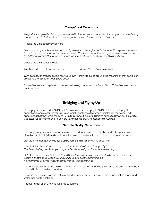## **Troop Crest Ceremony**

*We gather today as Girl Scouts, sisters to all Girl Scouts around the world. Our troop is only one of many around the world, but we share the same goals, as stated in the Girl Scout Promise.* 

(Recite the Girl Scout Promise here)

*Like many troops before us, we are as unique as each of our girls are individuals. Each girl is important to the troop and is a vital part of our troop spirit. This spirit is what ties us together - to each other and to Girl Scouts around the world. We share the same values, as spoken in the Girl Scout Law.* 

(Recite the Girl Scout Law here)

*We, Troop #\_\_\_\_\_\_, have chosen the \_\_\_\_\_\_\_\_\_\_\_\_* (insert Troop Crest selected).

*We have chosen this because*: (insert your own wording focused around the meaning of that particular crest and the "spirit" of your girls/troop.)

*I now will present each girl with a troop crest to be proudly worn on her uniform. This will remind her of our troop spirit.* 

## **Bridging and Flying Up**

A bridging ceremony is for Girl Scout Brownies who are bridging to Girl Scout Juniors. Flying Up is a special ceremony reserved for Brownies, which recalls the days when their leader the "Wise Owl" announced that they were ready to fly up to Girl Scout Juniors. (Daisies bridge to Brownies, Juniors to Cadettes, Cadettes to Seniors, Seniors to Ambassadors, Ambassadors to Adults.)

## **Sample Fly-Up Ceremony**

The bridge may be made of wood, it may be a cardboard arch, or it may be made of paper strips. Have two circles of girls and adults, one for Brownies and one for Juniors with a bridge in between.

LEADER: Mentions girl who is flying up by name and tells something about her.

CO-LEADER: *"Now it's time to say goodbye, Break the ring and out you fly." The Brownie Ring breaks long enough for Leader and Fly-up Brownie to leave ring.* 

LEADER: Leader takes girl to Bridge and Says: *"Brownie, you are just about to become a Junior Girl Scout. In the troop you soon will find Junior Scouts are true and kind. So now I give you Brownie Wings that you may fly to bigger things.* 

The leader presents girl with Brownie Wings and shakes her hand. The girl crosses bridge and is met by a Junior Girl Scout on the other side.

Brownie Fly-Up says Promise to Junior Leader. Junior Leader puts trefoil pin on girl, shakes hands, and welcomes her to her troop.

Repeat this for each Brownie flying-up to Juniors.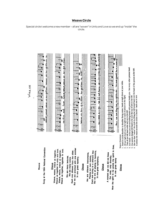

## **Weave Circle**

Special circle t welcome a new member – all are "woven" in Unity and Love so we end up "inside" the circle.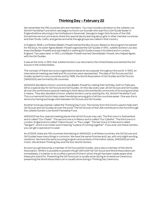# **Thinking Day – February 22**

We remember the 145 countries who are members. You may include a donation to the Juliette Low World Friendship Fund which was begun to honor our founder who was first a Girl Guide leader in England before returning to her birthplace in Savannah, Georgia to begin Girls Scouts of the USA. Sometimes service unit events share this special day by learning about girls in other member countries and their foods, crafts, and games and what the age groups are called in that country.

In England, 1908, Lord Robert Baden-Powell started the Boy Scouts. Based on the program he started for the boys, his sister Agnes Baden-Powell organized the Girl Guides in 1910. Juliette Gordon Low also knew the Baden-Powells and was helpful in starting Girl Guide troops in Scotland and in London, England. Two years later, in 1912, Lord Baden-Powell married Olave Baden-Powell, who helped Agnes with the Girl Guides.

It was at this time, in 1912, that Juliette Gordon Low returned to the United States and started the Girl Scouts in the United States.

The concept of these two scout organizations became very popular throughout the world. In 1920, an international meeting was held and 19 countries were represented. The idea of Girl Scouts and Girl Guides spread to many countries and by 1928, the World Association of Girl Guides and Girl Scouts (WAGGGS) was formed by 26 countries.

WAGGGS decided to honor Lord and Lady Baden-Powell by making their birthday, both on February 22nd, a special day for Girl Scouts and Girl Guides. On this day every year, all Girl Scouts and Girl Guides all over the world have a special meeting to think about the worldwide community of Scouting and what it means. They also decided to honor Juliette Gordon Low by starting the JGL World Friendship Fund. This is a memorial fund to help make friendships among girls of all the countries easier. One way this is done is by having exchange visits between Girl Scouts and Girl Guides.

Another fund was started, called the Thinking Day Fund. The money from this fund is used to help start Girl Scouts and Girl Guides all over the world. The Girl Scouts of the USA contribute to this fund through the Juliette Gordon Low World Friendship Fund.

WAGGGS has four special meeting places that all Girl Scouts may visit. The first one is in Switzerland and is called "Our Chalet". The second one is in Mexico and is called "Our Cabaña". The third one is in London, England and is called "Olave House" or "Pax Lodge". The last one is in India and is called "Sangam", which is an Indian word meaning "a place of coming together". If you ever visit these centers, you can get a special pin to wear.

As of 2009, there are 145 countries that belong to WAGGGS. In all these countries, the Girl Scouts and Girl Guides have many things in common. We have the same Promise and Law, with only slight wording variations. We have the same scouting program and symbols of the trefoil, salute, WAGGGS pin and motto. We all share Thinking Day and the four World Centers.

As soon as a girl becomes a member of Girl Scouts/Girl Guides, she is also a member of the World Association. While it is possible to present the girl with both her Girl Scout and World Association pin immediately, it is better to do so after a period of time in which the girl has been made aware what these pins stand for. Presenting the Girl Scout pin is usually done during an Investiture Ceremony; presenting the World Association pin is usually done during a Thinking Day Ceremony.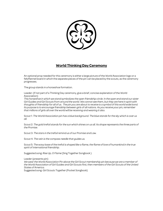

# **World Thinking Day Ceremony**

An optional prop needed for this ceremony is either a large picture of the World Association logo or a felt/flannel board in which the separate pieces of the pin can be placed by the scouts, as the ceremony progresses.

The group stands in a horseshoe formation.

Leader: (if not part of a Thinking Day ceremony, give a brief, concise explanation of the World Association)

*This horseshoe in which we stand symbolizes the open friendship circle. In the open end stand our sister*  Girl Guides and Girl Scouts from around the world. We cannot see them, but they are here in spirit with *thoughts of friendship for all of us. The pin you are about to receive is a symbol of this world wide bond. Its purpose is to encourage friendship between girls of all nations. As you receive your pin, remember that millions of girls all over the world will be receiving and wearing it also.* 

Scout 1: *The World Association pin has a blue background. The blue stands for the sky which is over us all.* 

Scout 2: *The gold trefoil stands for the sun which shines on us all. Its shape represents the three parts of the Promise.* 

Scout 3: *The stars in the trefoil remind us of our Promise and Law.* 

Scout 4: *The vein is the compass needle that guides us.* 

Scout 5: *The wavy base of the trefoil is shaped like a flame, the flame of love of humankind in the true spirit of international friendship.* 

Suggested song: *Rise Up, O Flame* (Sing Together Songbook )

Leader(presents pin) *We wear the World Association Pin above the Girl Scout membership pin because we are a member of the World Association of Girl Guides and Girl Scouts first, then members of the Girl Scouts of the United States of America.*  Suggested song: *Girl Scouts Together* (Pocket Songbook)